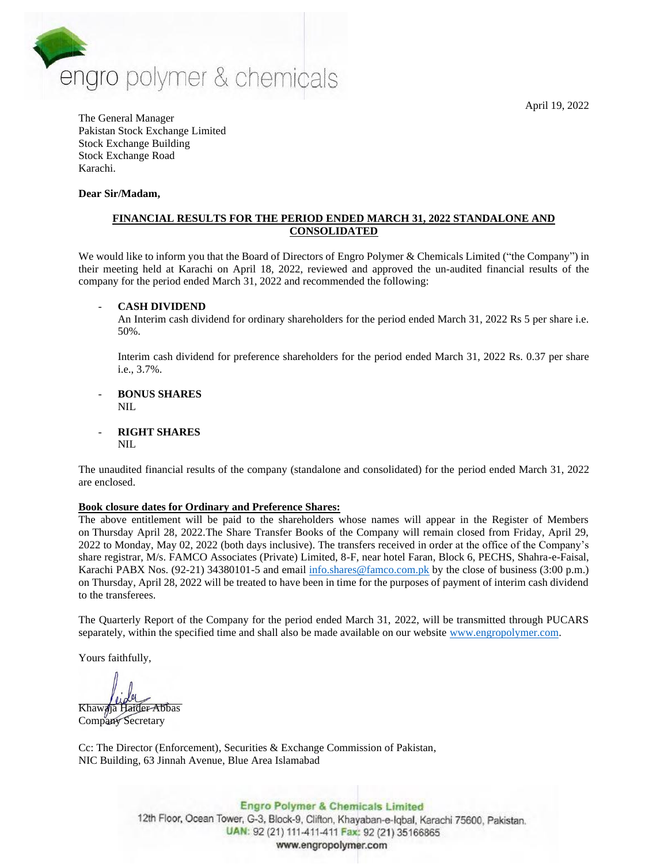April 19, 2022



The General Manager Pakistan Stock Exchange Limited Stock Exchange Building Stock Exchange Road Karachi.

### **Dear Sir/Madam,**

## **FINANCIAL RESULTS FOR THE PERIOD ENDED MARCH 31, 2022 STANDALONE AND CONSOLIDATED**

We would like to inform you that the Board of Directors of Engro Polymer & Chemicals Limited ("the Company") in their meeting held at Karachi on April 18, 2022, reviewed and approved the un-audited financial results of the company for the period ended March 31, 2022 and recommended the following:

## - **CASH DIVIDEND**

An Interim cash dividend for ordinary shareholders for the period ended March 31, 2022 Rs 5 per share i.e. 50%.

Interim cash dividend for preference shareholders for the period ended March 31, 2022 Rs. 0.37 per share i.e., 3.7%.

#### - **BONUS SHARES** NIL

- **RIGHT SHARES**

NIL

The unaudited financial results of the company (standalone and consolidated) for the period ended March 31, 2022 are enclosed.

## **Book closure dates for Ordinary and Preference Shares:**

The above entitlement will be paid to the shareholders whose names will appear in the Register of Members on Thursday April 28, 2022.The Share Transfer Books of the Company will remain closed from Friday, April 29, 2022 to Monday, May 02, 2022 (both days inclusive). The transfers received in order at the office of the Company's share registrar, M/s. FAMCO Associates (Private) Limited, 8-F, near hotel Faran, Block 6, PECHS, Shahra-e-Faisal, Karachi PABX Nos. (92-21) 34380101-5 and email [info.shares@famco.com.pk](mailto:info.shares@famco.com.pk) by the close of business (3:00 p.m.) on Thursday, April 28, 2022 will be treated to have been in time for the purposes of payment of interim cash dividend to the transferees.

The Quarterly Report of the Company for the period ended March 31, 2022, will be transmitted through PUCARS separately, within the specified time and shall also be made available on our website [www.engropolymer.com.](http://www.engropolymer.com/)

Yours faithfully,

Khawaja Haider Abbas

Company Secretary

Cc: The Director (Enforcement), Securities & Exchange Commission of Pakistan, NIC Building, 63 Jinnah Avenue, Blue Area Islamabad

> **Engro Polymer & Chemicals Limited** 12th Floor, Ocean Tower, G-3, Block-9, Clifton, Khayaban-e-Iqbal, Karachi 75600, Pakistan. UAN: 92 (21) 111-411-411 Fax: 92 (21) 35166865 www.engropolymer.com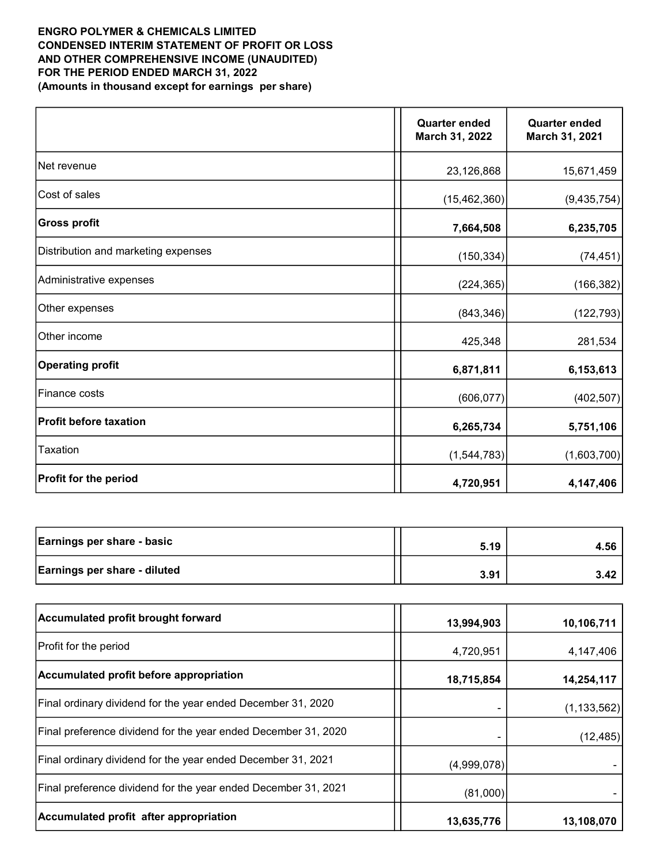## ENGRO POLYMER & CHEMICALS LIMITED CONDENSED INTERIM STATEMENT OF PROFIT OR LOSS AND OTHER COMPREHENSIVE INCOME (UNAUDITED) FOR THE PERIOD ENDED MARCH 31, 2022 (Amounts in thousand except for earnings per share)

|                                     | <b>Quarter ended</b><br>March 31, 2022 | <b>Quarter ended</b><br>March 31, 2021 |
|-------------------------------------|----------------------------------------|----------------------------------------|
| Net revenue                         | 23,126,868                             | 15,671,459                             |
| Cost of sales                       | (15, 462, 360)                         | (9, 435, 754)                          |
| <b>Gross profit</b>                 | 7,664,508                              | 6,235,705                              |
| Distribution and marketing expenses | (150, 334)                             | (74, 451)                              |
| Administrative expenses             | (224, 365)                             | (166, 382)                             |
| Other expenses                      | (843, 346)                             | (122, 793)                             |
| Other income                        | 425,348                                | 281,534                                |
| <b>Operating profit</b>             | 6,871,811                              | 6,153,613                              |
| Finance costs                       | (606, 077)                             | (402, 507)                             |
| <b>Profit before taxation</b>       | 6,265,734                              | 5,751,106                              |
| <b>Taxation</b>                     | (1,544,783)                            | (1,603,700)                            |
| Profit for the period               | 4,720,951                              | 4,147,406                              |

| Earnings per share - basic          | 5.19 | 4.56 |
|-------------------------------------|------|------|
| <b>Earnings per share - diluted</b> | 3.91 | 3.42 |

| Accumulated profit brought forward                             | 13,994,903  | 10,106,711    |
|----------------------------------------------------------------|-------------|---------------|
| <b>Profit for the period</b>                                   | 4,720,951   | 4,147,406     |
| Accumulated profit before appropriation                        | 18,715,854  | 14,254,117    |
| Final ordinary dividend for the year ended December 31, 2020   |             | (1, 133, 562) |
| Final preference dividend for the year ended December 31, 2020 |             | (12, 485)     |
| Final ordinary dividend for the year ended December 31, 2021   | (4,999,078) |               |
| Final preference dividend for the year ended December 31, 2021 | (81,000)    |               |
| Accumulated profit after appropriation                         | 13,635,776  | 13,108,070    |